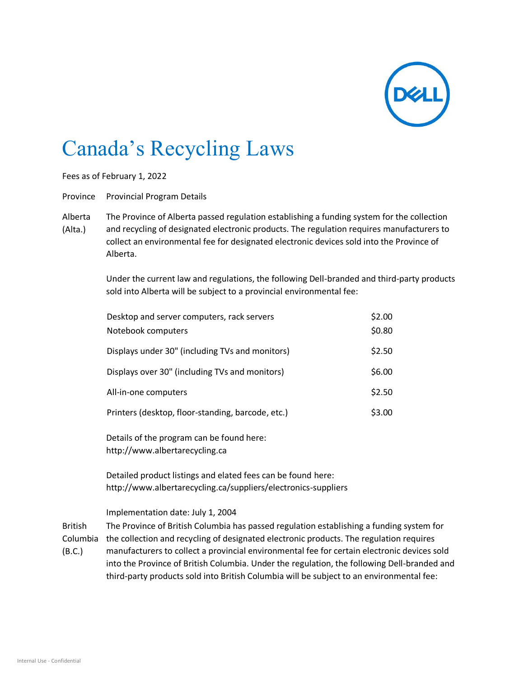

## Canada's Recycling Laws

Fees as of February 1, 2022

Province Provincial Program Details

Alberta (Alta.) The Province of Alberta passed regulation establishing a funding system for the collection and recycling of designated electronic products. The regulation requires manufacturers to collect an environmental fee for designated electronic devices sold into the Province of Alberta.

> Under the current law and regulations, the following Dell-branded and third-party products sold into Alberta will be subject to a provincial environmental fee:

| Desktop and server computers, rack servers        | \$2.00 |
|---------------------------------------------------|--------|
| Notebook computers                                | \$0.80 |
| Displays under 30" (including TVs and monitors)   | \$2.50 |
| Displays over 30" (including TVs and monitors)    | \$6.00 |
| All-in-one computers                              | \$2.50 |
| Printers (desktop, floor-standing, barcode, etc.) | \$3.00 |

Details of the program can be found here: [http://www.albertarecycling.ca](http://www.albertarecycling.ca/)

Detailed product listings and elated fees can be found here: <http://www.albertarecycling.ca/suppliers/electronics-suppliers>

## Implementation date: July 1, 2004

British Columbia the collection and recycling of designated electronic products. The regulation requires (B.C.) The Province of British Columbia has passed regulation establishing a funding system for manufacturers to collect a provincial environmental fee for certain electronic devices sold into the Province of British Columbia. Under the regulation, the following Dell-branded and third-party products sold into British Columbia will be subject to an environmental fee: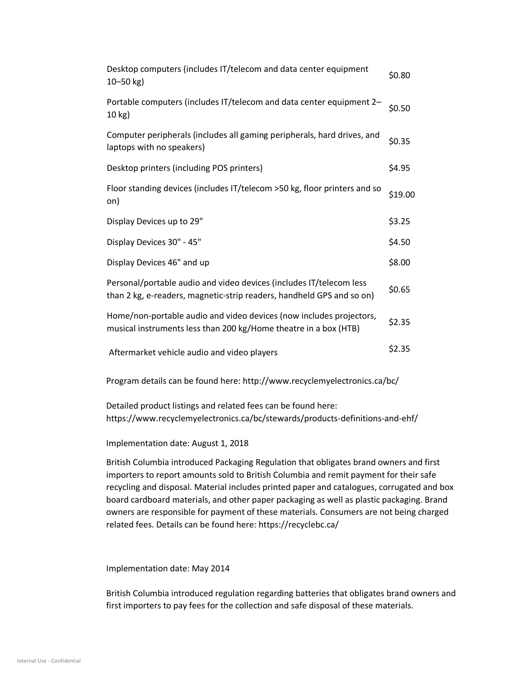| Desktop computers (includes IT/telecom and data center equipment<br>$10 - 50$ kg)                                                            | \$0.80  |
|----------------------------------------------------------------------------------------------------------------------------------------------|---------|
| Portable computers (includes IT/telecom and data center equipment 2-<br>10 kg)                                                               | \$0.50  |
| Computer peripherals (includes all gaming peripherals, hard drives, and<br>laptops with no speakers)                                         | \$0.35  |
| Desktop printers (including POS printers)                                                                                                    | \$4.95  |
| Floor standing devices (includes IT/telecom > 50 kg, floor printers and so<br>on)                                                            | \$19.00 |
| Display Devices up to 29"                                                                                                                    | \$3.25  |
| Display Devices 30" - 45"                                                                                                                    | \$4.50  |
| Display Devices 46" and up                                                                                                                   | \$8.00  |
| Personal/portable audio and video devices (includes IT/telecom less<br>than 2 kg, e-readers, magnetic-strip readers, handheld GPS and so on) | \$0.65  |
| Home/non-portable audio and video devices (now includes projectors,<br>musical instruments less than 200 kg/Home theatre in a box (HTB)      | \$2.35  |
| Aftermarket vehicle audio and video players                                                                                                  | \$2.35  |
|                                                                                                                                              |         |

Program details can be found here:<http://www.recyclemyelectronics.ca/bc/>

Detailed product listings and related fees can be found here: <https://www.recyclemyelectronics.ca/bc/stewards/products-definitions-and-ehf/>

Implementation date: August 1, 2018

British Columbia introduced Packaging Regulation that obligates brand owners and first importers to report amounts sold to British Columbia and remit payment for their safe recycling and disposal. Material includes printed paper and catalogues, corrugated and box board cardboard materials, and other paper packaging as well as plastic packaging. Brand owners are responsible for payment of these materials. Consumers are not being charged related fees. Details can be found here:<https://recyclebc.ca/>

Implementation date: May 2014

British Columbia introduced regulation regarding batteries that obligates brand owners and first importers to pay fees for the collection and safe disposal of these materials.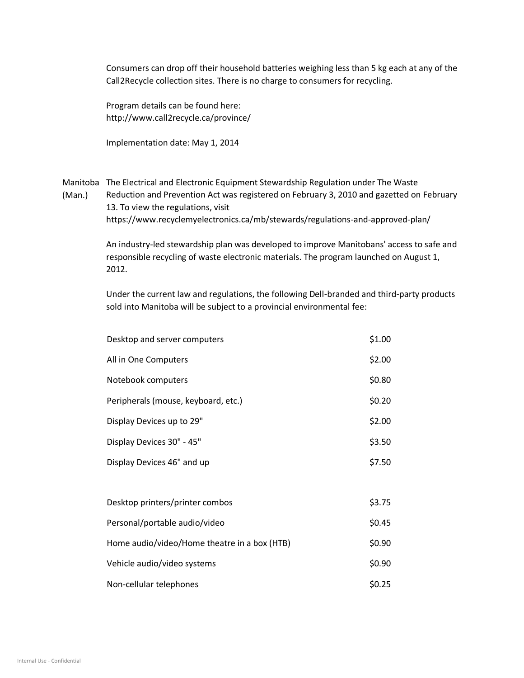Consumers can drop off their household batteries weighing less than 5 kg each at any of the Call2Recycle collection sites. There is no charge to consumers for recycling.

Program details can be found here: <http://www.call2recycle.ca/province/>

Implementation date: May 1, 2014

Manitoba The Electrical and Electronic Equipment Stewardship Regulation under The Waste (Man.) Reduction and Prevention Act was registered on February 3, 2010 and gazetted on February 13. To view the regulations, visit <https://www.recyclemyelectronics.ca/mb/stewards/regulations-and-approved-plan/>

> An industry-led stewardship plan was developed to improve Manitobans' access to safe and responsible recycling of waste electronic materials. The program launched on August 1, 2012.

> Under the current law and regulations, the following Dell-branded and third-party products sold into Manitoba will be subject to a provincial environmental fee:

| Desktop and server computers                 | \$1.00 |
|----------------------------------------------|--------|
| All in One Computers                         | \$2.00 |
| Notebook computers                           | \$0.80 |
| Peripherals (mouse, keyboard, etc.)          | \$0.20 |
| Display Devices up to 29"                    | \$2.00 |
| Display Devices 30" - 45"                    | \$3.50 |
| Display Devices 46" and up                   | \$7.50 |
|                                              |        |
| Desktop printers/printer combos              | \$3.75 |
| Personal/portable audio/video                | \$0.45 |
| Home audio/video/Home theatre in a box (HTB) | \$0.90 |
| Vehicle audio/video systems                  | \$0.90 |
| Non-cellular telephones                      | \$0.25 |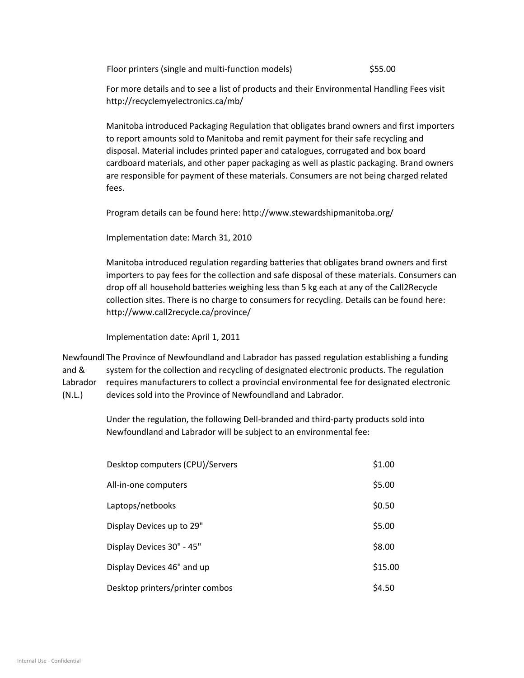Floor printers (single and multi-function models) \$55.00

For more details and to see a list of products and their Environmental Handling Fees visit <http://recyclemyelectronics.ca/mb/>

Manitoba introduced Packaging Regulation that obligates brand owners and first importers to report amounts sold to Manitoba and remit payment for their safe recycling and disposal. Material includes printed paper and catalogues, corrugated and box board cardboard materials, and other paper packaging as well as plastic packaging. Brand owners are responsible for payment of these materials. Consumers are not being charged related fees.

Program details can be found here:<http://www.stewardshipmanitoba.org/>

Implementation date: March 31, 2010

Manitoba introduced regulation regarding batteries that obligates brand owners and first importers to pay fees for the collection and safe disposal of these materials. Consumers can drop off all household batteries weighing less than 5 kg each at any of the Call2Recycle collection sites. There is no charge to consumers for recycling. Details can be found here: <http://www.call2recycle.ca/province/>

Implementation date: April 1, 2011

Newfoundl The Province of Newfoundland and Labrador has passed [regulation](http://www.assembly.nl.ca/legislation/sr/annualregs/2012/nr120085.htm) establishing a funding and & Labrador requires manufacturers to collect a provincial environmental fee for designated electronic (N.L.) system for the collection and recycling of designated electronic products. The regulation devices sold into the Province of Newfoundland and Labrador.

> Under the regulation, the following Dell-branded and third-party products sold into Newfoundland and Labrador will be subject to an environmental fee:

| Desktop computers (CPU)/Servers | \$1.00  |
|---------------------------------|---------|
| All-in-one computers            | \$5.00  |
| Laptops/netbooks                | \$0.50  |
| Display Devices up to 29"       | \$5.00  |
| Display Devices 30" - 45"       | \$8.00  |
| Display Devices 46" and up      | \$15.00 |
| Desktop printers/printer combos | \$4.50  |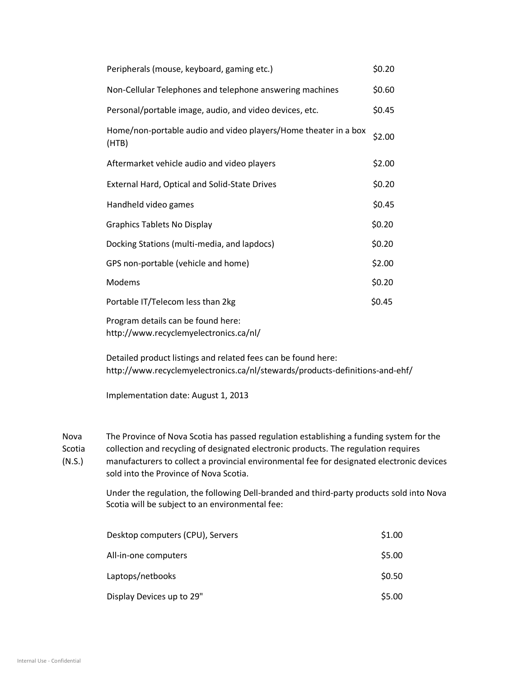| Peripherals (mouse, keyboard, gaming etc.)                                   | \$0.20 |
|------------------------------------------------------------------------------|--------|
| Non-Cellular Telephones and telephone answering machines                     | \$0.60 |
| Personal/portable image, audio, and video devices, etc.                      | \$0.45 |
| Home/non-portable audio and video players/Home theater in a box<br>(HTB)     | \$2.00 |
| Aftermarket vehicle audio and video players                                  | \$2.00 |
| <b>External Hard, Optical and Solid-State Drives</b>                         | \$0.20 |
| Handheld video games                                                         | \$0.45 |
| <b>Graphics Tablets No Display</b>                                           | \$0.20 |
| Docking Stations (multi-media, and lapdocs)                                  | \$0.20 |
| GPS non-portable (vehicle and home)                                          | \$2.00 |
| Modems                                                                       | \$0.20 |
| Portable IT/Telecom less than 2kg                                            | \$0.45 |
| Program details can be found here:<br>http://www.recyclemyelectronics.ca/nl/ |        |

Detailed product listings and related fees can be found here: <http://www.recyclemyelectronics.ca/nl/stewards/products-definitions-and-ehf/>

Implementation date: August 1, 2013

Nova The Province of Nova Scotia has passed regulation establishing a funding system for the

Scotia collection and recycling of designated electronic products. The regulation requires

(N.S.) manufacturers to collect a provincial environmental fee for designated electronic devices sold into the Province of Nova Scotia.

> Under the regulation, the following Dell-branded and third-party products sold into Nova Scotia will be subject to an environmental fee:

| Desktop computers (CPU), Servers | \$1.00 |
|----------------------------------|--------|
| All-in-one computers             | \$5.00 |
| Laptops/netbooks                 | \$0.50 |
| Display Devices up to 29"        | \$5.00 |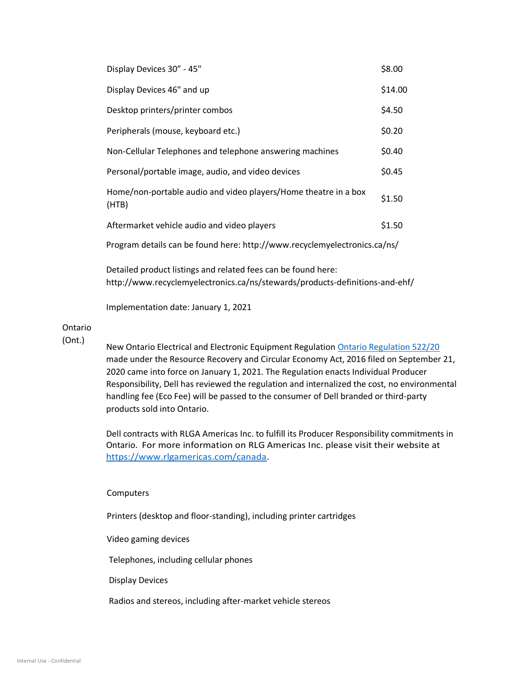| Display Devices 30" - 45"                                                 | \$8.00  |
|---------------------------------------------------------------------------|---------|
| Display Devices 46" and up                                                | \$14.00 |
| Desktop printers/printer combos                                           | \$4.50  |
| Peripherals (mouse, keyboard etc.)                                        | \$0.20  |
| Non-Cellular Telephones and telephone answering machines                  | \$0.40  |
| Personal/portable image, audio, and video devices                         | \$0.45  |
| Home/non-portable audio and video players/Home theatre in a box<br>(HTB)  | \$1.50  |
| Aftermarket vehicle audio and video players                               | \$1.50  |
| Program details can be found here: http://www.recyclemyelectronics.ca/ns/ |         |

Detailed product listings and related fees can be found here: <http://www.recyclemyelectronics.ca/ns/stewards/products-definitions-and-ehf/>

Implementation date: January 1, 2021

## Ontario

(Ont.)

New Ontario Electrical and Electronic Equipment Regulatio[n Ontario Regulation 522/20](https://prod-environmental-registry.s3.amazonaws.com/2020-09/EEE%20reg%20-%20final%20-%20Sept%2021%20-%20english%20%281%29.pdf) made under the Resource Recovery and Circular Economy Act, 2016 filed on September 21, 2020 came into force on January 1, 2021. The Regulation enacts Individual Producer Responsibility, Dell has reviewed the regulation and internalized the cost, no environmental handling fee (Eco Fee) will be passed to the consumer of Dell branded or third-party products sold into Ontario.

Dell contracts with RLGA Americas Inc. to fulfill its Producer Responsibility commitments in Ontario. For more information on RLG Americas Inc. please visit their website at [https://www.rlgamericas.com/canada.](https://www.rlgamericas.com/canada)

## Computers

Printers (desktop and floor-standing), including printer cartridges

Video gaming devices

Telephones, including cellular phones

Display Devices

Radios and stereos, including after-market vehicle stereos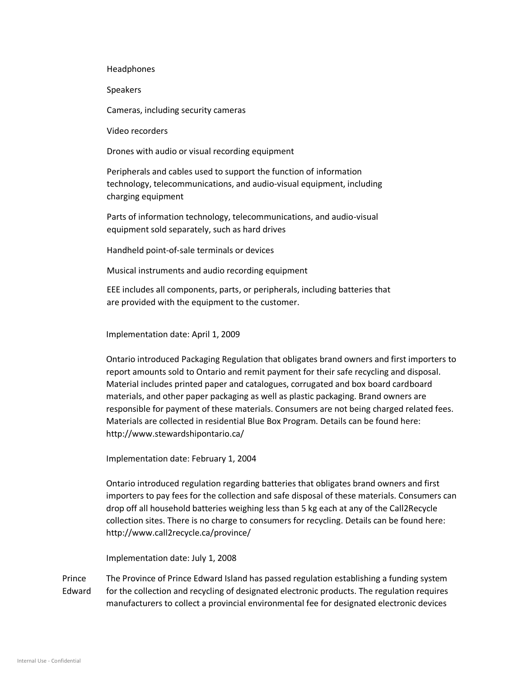Headphones

Speakers

Cameras, including security cameras

Video recorders

Drones with audio or visual recording equipment

Peripherals and cables used to support the function of information technology, telecommunications, and audio-visual equipment, including charging equipment

Parts of information technology, telecommunications, and audio-visual equipment sold separately, such as hard drives

Handheld point-of-sale terminals or devices

Musical instruments and audio recording equipment

EEE includes all components, parts, or peripherals, including batteries that are provided with the equipment to the customer.

Implementation date: April 1, 2009

Ontario introduced Packaging Regulation that obligates brand owners and first importers to report amounts sold to Ontario and remit payment for their safe recycling and disposal. Material includes printed paper and catalogues, corrugated and box board cardboard materials, and other paper packaging as well as plastic packaging. Brand owners are responsible for payment of these materials. Consumers are not being charged related fees. Materials are collected in residential Blue Box Program. Details can be found here: <http://www.stewardshipontario.ca/>

Implementation date: February 1, 2004

Ontario introduced regulation regarding batteries that obligates brand owners and first importers to pay fees for the collection and safe disposal of these materials. Consumers can drop off all household batteries weighing less than 5 kg each at any of the Call2Recycle collection sites. There is no charge to consumers for recycling. Details can be found here: <http://www.call2recycle.ca/province/>

Implementation date: July 1, 2008

Prince Edward The Province of Prince Edward Island has passed regulation establishing a funding system for the collection and recycling of designated electronic products. The regulation requires manufacturers to collect a provincial environmental fee for designated electronic devices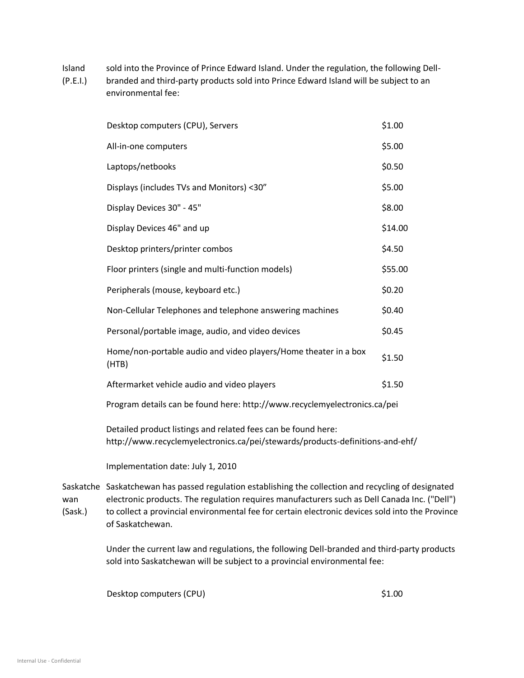- Island sold into the Province of Prince Edward Island. Under the regulation, the following Dell-
- (P.E.I.) branded and third-party products sold into Prince Edward Island will be subject to an environmental fee:

| Desktop computers (CPU), Servers                                          | \$1.00  |
|---------------------------------------------------------------------------|---------|
| All-in-one computers                                                      | \$5.00  |
| Laptops/netbooks                                                          | \$0.50  |
| Displays (includes TVs and Monitors) <30"                                 | \$5.00  |
| Display Devices 30" - 45"                                                 | \$8.00  |
| Display Devices 46" and up                                                | \$14.00 |
| Desktop printers/printer combos                                           | \$4.50  |
| Floor printers (single and multi-function models)                         | \$55.00 |
| Peripherals (mouse, keyboard etc.)                                        | \$0.20  |
| Non-Cellular Telephones and telephone answering machines                  | \$0.40  |
| Personal/portable image, audio, and video devices                         | \$0.45  |
| Home/non-portable audio and video players/Home theater in a box<br>(HTB)  | \$1.50  |
| Aftermarket vehicle audio and video players                               | \$1.50  |
| Program details can be found here: http://www.recyclemyelectronics.ca/pei |         |

Detailed product listings and related fees can be found here: <http://www.recyclemyelectronics.ca/pei/stewards/products-definitions-and-ehf/>

Implementation date: July 1, 2010

Saskatche Saskatchewan has passed regulation establishing the collection and recycling of designated wan (Sask.) electronic products. The regulation requires manufacturers such as Dell Canada Inc. ("Dell") to collect a provincial environmental fee for certain electronic devices sold into the Province of Saskatchewan.

> Under the current law and regulations, the following Dell-branded and third-party products sold into Saskatchewan will be subject to a provincial environmental fee:

Desktop computers (CPU) \$1.00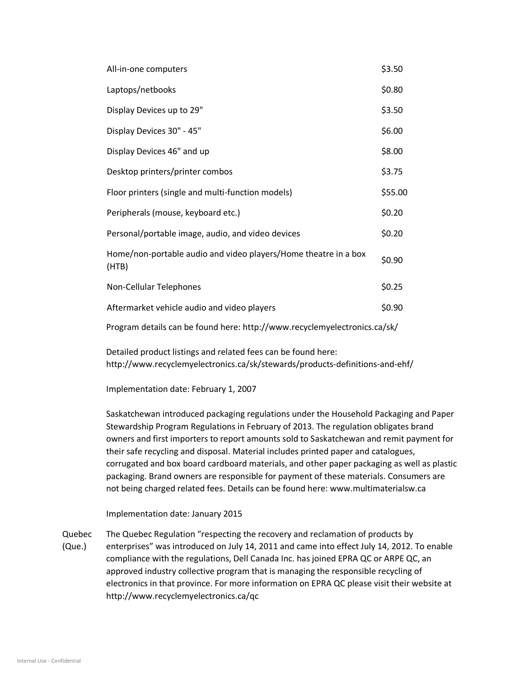| All-in-one computers                                                     | \$3.50  |
|--------------------------------------------------------------------------|---------|
| Laptops/netbooks                                                         | \$0.80  |
| Display Devices up to 29"                                                | \$3.50  |
| Display Devices 30" - 45"                                                | \$6.00  |
| Display Devices 46" and up                                               | \$8.00  |
| Desktop printers/printer combos                                          | \$3.75  |
| Floor printers (single and multi-function models)                        | \$55.00 |
| Peripherals (mouse, keyboard etc.)                                       | \$0.20  |
| Personal/portable image, audio, and video devices                        | \$0.20  |
| Home/non-portable audio and video players/Home theatre in a box<br>(HTB) | \$0.90  |
| Non-Cellular Telephones                                                  | \$0.25  |
| Aftermarket vehicle audio and video players                              | \$0.90  |
|                                                                          |         |

Program details can be found here:<http://www.recyclemyelectronics.ca/sk/>

Detailed product listings and related fees can be found here: <http://www.recyclemyelectronics.ca/sk/stewards/products-definitions-and-ehf/>

Implementation date: February 1, 2007

Saskatchewan introduced packaging regulations under the Household Packaging and Paper Stewardship Program Regulations in February of 2013. The regulation obligates brand owners and first importers to report amounts sold to Saskatchewan and remit payment for their safe recycling and disposal. Material includes printed paper and catalogues, corrugated and box board cardboard materials, and other paper packaging as well as plastic packaging. Brand owners are responsible for payment of these materials. Consumers are not being charged related fees. Details can be found here: [www.multimaterialsw.ca](http://www.mmsk.ca/)

Implementation date: January 2015

Quebec (Que.) The Quebec Regulation "respecting the recovery and reclamation of products by enterprises" was introduced on July 14, 2011 and came into effect July 14, 2012. To enable compliance with the regulations, Dell Canada Inc. has joined EPRA QC or ARPE QC, an approved industry collective program that is managing the responsible recycling of electronics in that province. For more information on EPRA QC please visit their website at <http://www.recyclemyelectronics.ca/qc>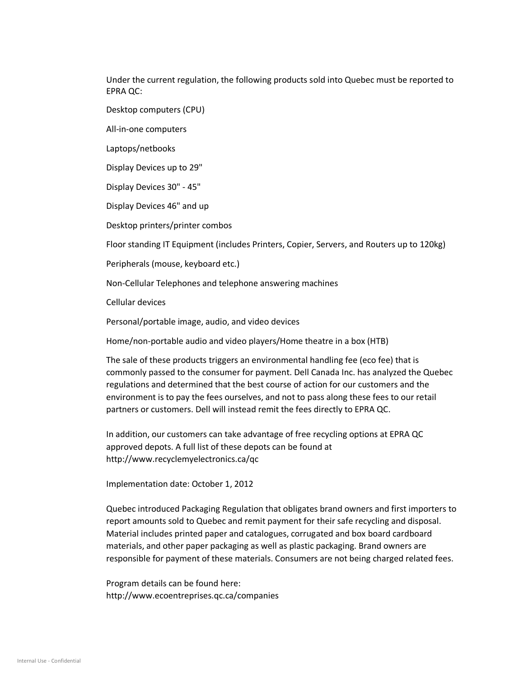Under the current regulation, the following products sold into Quebec must be reported to EPRA QC:

Desktop computers (CPU)

All-in-one computers

Laptops/netbooks

Display Devices up to 29"

Display Devices 30" - 45"

Display Devices 46" and up

Desktop printers/printer combos

Floor standing IT Equipment (includes Printers, Copier, Servers, and Routers up to 120kg)

Peripherals (mouse, keyboard etc.)

Non-Cellular Telephones and telephone answering machines

Cellular devices

Personal/portable image, audio, and video devices

Home/non-portable audio and video players/Home theatre in a box (HTB)

The sale of these products triggers an environmental handling fee (eco fee) that is commonly passed to the consumer for payment. Dell Canada Inc. has analyzed the Quebec regulations and determined that the best course of action for our customers and the environment is to pay the fees ourselves, and not to pass along these fees to our retail partners or customers. Dell will instead remit the fees directly to EPRA QC.

In addition, our customers can take advantage of free recycling options at EPRA QC approved depots. A full list of these depots can be found at <http://www.recyclemyelectronics.ca/qc>

Implementation date: October 1, 2012

Quebec introduced Packaging Regulation that obligates brand owners and first importers to report amounts sold to Quebec and remit payment for their safe recycling and disposal. Material includes printed paper and catalogues, corrugated and box board cardboard materials, and other paper packaging as well as plastic packaging. Brand owners are responsible for payment of these materials. Consumers are not being charged related fees.

Program details can be found here: <http://www.ecoentreprises.qc.ca/companies>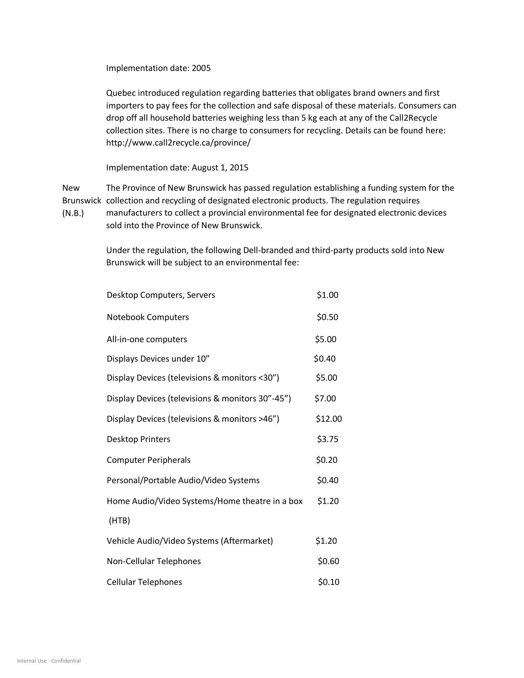Implementation date: 2005

Quebec introduced regulation regarding batteries that obligates brand owners and first importers to pay fees for the collection and safe disposal of these materials. Consumers can drop off all household batteries weighing less than 5 kg each at any of the Call2Recycle collection sites. There is no charge to consumers for recycling. Details can be found here: <http://www.call2recycle.ca/province/>

Implementation date: August 1, 2015

New Brunswick collection and recycling of designated electronic products. The regulation requires The Province of New Brunswick has passed [regulation](http://laws.gnb.ca/en/ShowTdm/cr/2008-54/) establishing a funding system for the

(N.B.) manufacturers to collect a provincial environmental fee for designated electronic devices sold into the Province of New Brunswick.

> Under the regulation, the following Dell-branded and third-party products sold into New Brunswick will be subject to an environmental fee:

| Desktop Computers, Servers                       | \$1.00  |
|--------------------------------------------------|---------|
| Notebook Computers                               | \$0.50  |
| All-in-one computers                             | \$5.00  |
| Displays Devices under 10"                       | \$0.40  |
| Display Devices (televisions & monitors <30")    | \$5.00  |
| Display Devices (televisions & monitors 30"-45") | \$7.00  |
| Display Devices (televisions & monitors >46")    | \$12.00 |
| <b>Desktop Printers</b>                          | \$3.75  |
| <b>Computer Peripherals</b>                      | \$0.20  |
| Personal/Portable Audio/Video Systems            | \$0.40  |
| Home Audio/Video Systems/Home theatre in a box   | \$1.20  |
| (HTB)                                            |         |
| Vehicle Audio/Video Systems (Aftermarket)        | \$1.20  |
| Non-Cellular Telephones                          | \$0.60  |
| <b>Cellular Telephones</b>                       | \$0.10  |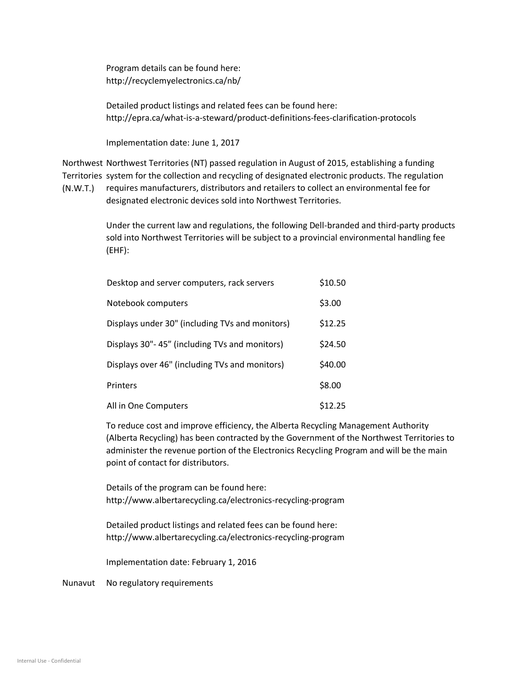Program details can be found here: <http://recyclemyelectronics.ca/nb/>

Detailed product listings and related fees can be found here: <http://epra.ca/what-is-a-steward/product-definitions-fees-clarification-protocols>

Implementation date: June 1, 2017

Northwest Northwest Territories (NT) passed regulation in August of 2015, establishing a funding Territories system for the collection and recycling of designated electronic products. The regulation

(N.W.T.) requires manufacturers, distributors and retailers to collect an environmental fee for designated electronic devices sold into Northwest Territories.

> Under the current law and regulations, the following Dell-branded and third-party products sold into Northwest Territories will be subject to a provincial environmental handling fee (EHF):

| Desktop and server computers, rack servers      | \$10.50 |
|-------------------------------------------------|---------|
| Notebook computers                              | \$3.00  |
| Displays under 30" (including TVs and monitors) | \$12.25 |
| Displays 30"-45" (including TVs and monitors)   | \$24.50 |
| Displays over 46" (including TVs and monitors)  | \$40.00 |
| <b>Printers</b>                                 | \$8.00  |
| All in One Computers                            | \$12.25 |

To reduce cost and improve efficiency, the Alberta Recycling Management Authority (Alberta Recycling) has been contracted by the Government of the Northwest Territories to administer the revenue portion of the Electronics Recycling Program and will be the main point of contact for distributors.

Details of the program can be found here: <http://www.albertarecycling.ca/electronics-recycling-program>

Detailed product listings and related fees can be found here: <http://www.albertarecycling.ca/electronics-recycling-program>

Implementation date: February 1, 2016

Nunavut No regulatory requirements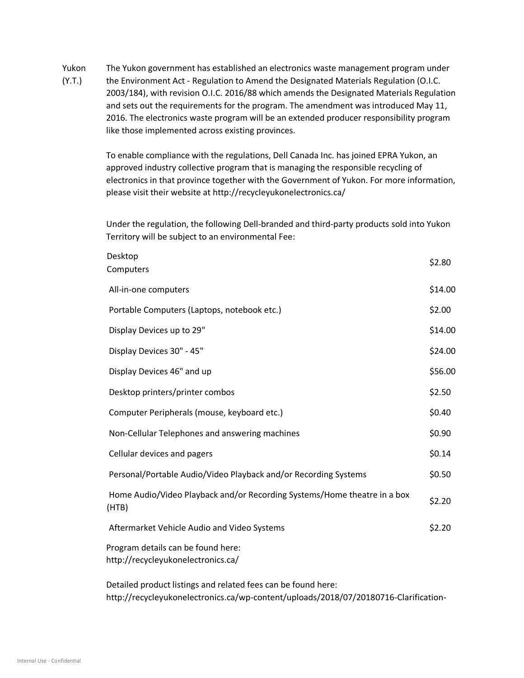Yukon The Yukon government has established an electronics waste management program under

(Y.T.) the Environment Act - Regulation to Amend the Designated Materials Regulation (O.I.C. 2003/184), with revision O.I.C. 2016/88 which amends the Designated Materials Regulation and sets out the requirements for the program. The amendment was introduced May 11, 2016. The electronics waste program will be an extended producer responsibility program like those implemented across existing provinces.

> To enable compliance with the regulations, Dell Canada Inc. has joined EPRA Yukon, an approved industry collective program that is managing the responsible recycling of electronics in that province together with the Government of Yukon. For more information, please visit their website at<http://recycleyukonelectronics.ca/>

Under the regulation, the following Dell-branded and third-party products sold into Yukon Territory will be subject to an environmental Fee:

| Desktop<br>Computers                                                              | \$2.80  |
|-----------------------------------------------------------------------------------|---------|
| All-in-one computers                                                              | \$14.00 |
| Portable Computers (Laptops, notebook etc.)                                       | \$2.00  |
| Display Devices up to 29"                                                         | \$14.00 |
| Display Devices 30" - 45"                                                         | \$24.00 |
| Display Devices 46" and up                                                        | \$56.00 |
| Desktop printers/printer combos                                                   | \$2.50  |
| Computer Peripherals (mouse, keyboard etc.)                                       | \$0.40  |
| Non-Cellular Telephones and answering machines                                    | \$0.90  |
| Cellular devices and pagers                                                       | \$0.14  |
| Personal/Portable Audio/Video Playback and/or Recording Systems                   | \$0.50  |
| Home Audio/Video Playback and/or Recording Systems/Home theatre in a box<br>(HTB) | \$2.20  |
| Aftermarket Vehicle Audio and Video Systems                                       | \$2.20  |
| Program details can be found here:<br>http://recycleyukonelectronics.ca/          |         |
| Detailed product listings and related fees can be found here:                     |         |

[http://recycleyukonelectronics.ca/wp-content/uploads/2018/07/20180716-Clarification-](http://recycleyukonelectronics.ca/wp-content/uploads/2018/07/20180716-Clarification-electronic-products-YukonDMR.pdf)